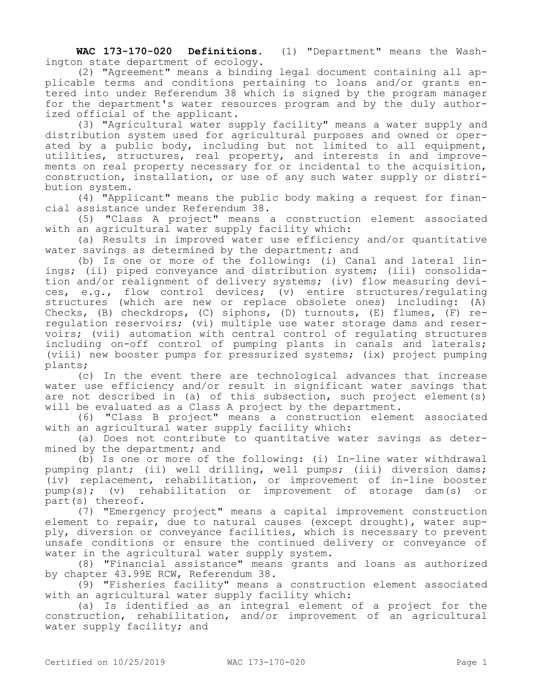**WAC 173-170-020 Definitions.** (1) "Department" means the Washington state department of ecology.

(2) "Agreement" means a binding legal document containing all applicable terms and conditions pertaining to loans and/or grants entered into under Referendum 38 which is signed by the program manager for the department's water resources program and by the duly authorized official of the applicant.

(3) "Agricultural water supply facility" means a water supply and distribution system used for agricultural purposes and owned or operated by a public body, including but not limited to all equipment, utilities, structures, real property, and interests in and improvements on real property necessary for or incidental to the acquisition, construction, installation, or use of any such water supply or distribution system.

(4) "Applicant" means the public body making a request for financial assistance under Referendum 38.

(5) "Class A project" means a construction element associated with an agricultural water supply facility which:

(a) Results in improved water use efficiency and/or quantitative water savings as determined by the department; and

(b) Is one or more of the following: (i) Canal and lateral linings; (ii) piped conveyance and distribution system; (iii) consolidation and/or realignment of delivery systems; (iv) flow measuring devices, e.g., flow control devices; (v) entire structures/regulating structures (which are new or replace obsolete ones) including: (A) Checks, (B) checkdrops, (C) siphons, (D) turnouts, (E) flumes, (F) reregulation reservoirs; (vi) multiple use water storage dams and reservoirs; (vii) automation with central control of regulating structures including on-off control of pumping plants in canals and laterals; (viii) new booster pumps for pressurized systems; (ix) project pumping plants;

(c) In the event there are technological advances that increase water use efficiency and/or result in significant water savings that are not described in (a) of this subsection, such project element(s) will be evaluated as a Class A project by the department.

(6) "Class B project" means a construction element associated with an agricultural water supply facility which:

(a) Does not contribute to quantitative water savings as determined by the department; and

(b) Is one or more of the following: (i) In-line water withdrawal pumping plant; (ii) well drilling, well pumps; (iii) diversion dams; (iv) replacement, rehabilitation, or improvement of in-line booster pump(s); (v) rehabilitation or improvement of storage dam(s) or part(s) thereof.

(7) "Emergency project" means a capital improvement construction element to repair, due to natural causes (except drought), water supply, diversion or conveyance facilities, which is necessary to prevent unsafe conditions or ensure the continued delivery or conveyance of water in the agricultural water supply system.

(8) "Financial assistance" means grants and loans as authorized by chapter 43.99E RCW, Referendum 38.

(9) "Fisheries facility" means a construction element associated with an agricultural water supply facility which:

(a) Is identified as an integral element of a project for the construction, rehabilitation, and/or improvement of an agricultural water supply facility; and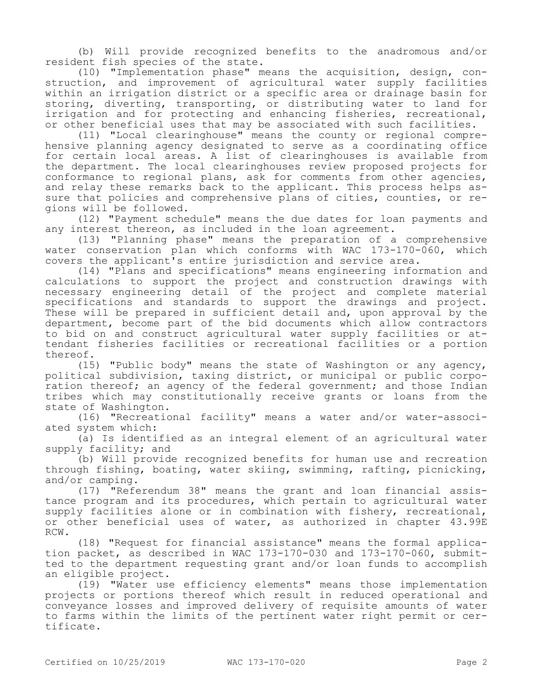(b) Will provide recognized benefits to the anadromous and/or resident fish species of the state.

(10) "Implementation phase" means the acquisition, design, construction, and improvement of agricultural water supply facilities within an irrigation district or a specific area or drainage basin for storing, diverting, transporting, or distributing water to land for irrigation and for protecting and enhancing fisheries, recreational, or other beneficial uses that may be associated with such facilities.

(11) "Local clearinghouse" means the county or regional comprehensive planning agency designated to serve as a coordinating office for certain local areas. A list of clearinghouses is available from the department. The local clearinghouses review proposed projects for conformance to regional plans, ask for comments from other agencies, and relay these remarks back to the applicant. This process helps assure that policies and comprehensive plans of cities, counties, or regions will be followed.

(12) "Payment schedule" means the due dates for loan payments and any interest thereon, as included in the loan agreement.

(13) "Planning phase" means the preparation of a comprehensive water conservation plan which conforms with WAC 173-170-060, which covers the applicant's entire jurisdiction and service area.

(14) "Plans and specifications" means engineering information and calculations to support the project and construction drawings with necessary engineering detail of the project and complete material specifications and standards to support the drawings and project. These will be prepared in sufficient detail and, upon approval by the department, become part of the bid documents which allow contractors to bid on and construct agricultural water supply facilities or attendant fisheries facilities or recreational facilities or a portion thereof.

(15) "Public body" means the state of Washington or any agency, political subdivision, taxing district, or municipal or public corporation thereof; an agency of the federal government; and those Indian tribes which may constitutionally receive grants or loans from the state of Washington.

(16) "Recreational facility" means a water and/or water-associated system which:

(a) Is identified as an integral element of an agricultural water supply facility; and

(b) Will provide recognized benefits for human use and recreation through fishing, boating, water skiing, swimming, rafting, picnicking, and/or camping.

(17) "Referendum 38" means the grant and loan financial assistance program and its procedures, which pertain to agricultural water supply facilities alone or in combination with fishery, recreational, or other beneficial uses of water, as authorized in chapter 43.99E RCW.

(18) "Request for financial assistance" means the formal application packet, as described in WAC 173-170-030 and 173-170-060, submitted to the department requesting grant and/or loan funds to accomplish an eligible project.

(19) "Water use efficiency elements" means those implementation projects or portions thereof which result in reduced operational and conveyance losses and improved delivery of requisite amounts of water to farms within the limits of the pertinent water right permit or certificate.